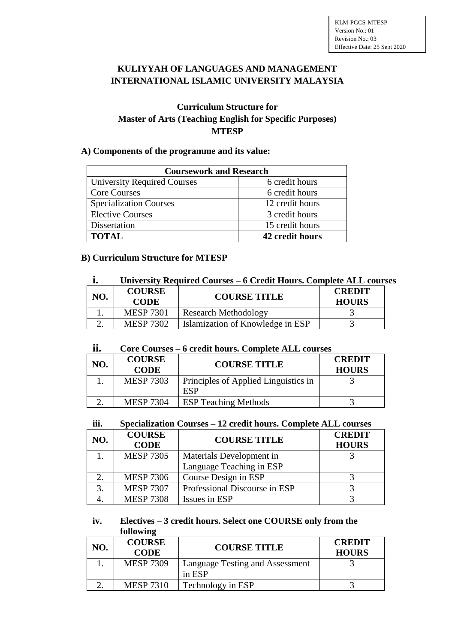# **KULIYYAH OF LANGUAGES AND MANAGEMENT INTERNATIONAL ISLAMIC UNIVERSITY MALAYSIA**

## **Curriculum Structure for Master of Arts (Teaching English for Specific Purposes) MTESP**

## **A) Components of the programme and its value:**

| <b>Coursework and Research</b>     |                 |  |
|------------------------------------|-----------------|--|
| <b>University Required Courses</b> | 6 credit hours  |  |
| <b>Core Courses</b>                | 6 credit hours  |  |
| <b>Specialization Courses</b>      | 12 credit hours |  |
| <b>Elective Courses</b>            | 3 credit hours  |  |
| Dissertation                       | 15 credit hours |  |
| <b>TOTAL</b>                       | 42 credit hours |  |

# **B) Curriculum Structure for MTESP**

| ı.  | University Required Courses – 6 Credit Hours. Complete ALL courses |                                  |                               |
|-----|--------------------------------------------------------------------|----------------------------------|-------------------------------|
| NO. | <b>COURSE</b><br><b>CODE</b>                                       | <b>COURSE TITLE</b>              | <b>CREDIT</b><br><b>HOURS</b> |
|     | <b>MESP 7301</b>                                                   | <b>Research Methodology</b>      |                               |
|     | <b>MESP 7302</b>                                                   | Islamization of Knowledge in ESP |                               |

#### **ii. Core Courses – 6 credit hours. Complete ALL courses**

| NO. | <b>COURSE</b><br><b>CODE</b> | <b>COURSE TITLE</b>                         | <b>CREDIT</b><br><b>HOURS</b> |
|-----|------------------------------|---------------------------------------------|-------------------------------|
|     | <b>MESP 7303</b>             | <b>Principles of Applied Linguistics in</b> |                               |
|     |                              |                                             |                               |
|     | <b>MESP 7304</b>             | <b>ESP Teaching Methods</b>                 |                               |

#### **iii. Specialization Courses – 12 credit hours. Complete ALL courses**

| NO. | <b>COURSE</b><br><b>CODE</b> | <b>COURSE TITLE</b>           | <b>CREDIT</b><br><b>HOURS</b> |
|-----|------------------------------|-------------------------------|-------------------------------|
|     | <b>MESP 7305</b>             | Materials Development in      |                               |
|     |                              | Language Teaching in ESP      |                               |
|     | <b>MESP 7306</b>             | Course Design in ESP          |                               |
|     | <b>MESP 7307</b>             | Professional Discourse in ESP |                               |
|     | <b>MESP 7308</b>             | Issues in ESP                 |                               |

## **iv. Electives – 3 credit hours. Select one COURSE only from the following**

| NO. | <b>COURSE</b><br><b>CODE</b> | <b>COURSE TITLE</b>                       | <b>CREDIT</b><br><b>HOURS</b> |
|-----|------------------------------|-------------------------------------------|-------------------------------|
|     | <b>MESP 7309</b>             | Language Testing and Assessment<br>in ESP |                               |
|     | <b>MESP 7310</b>             | Technology in ESP                         |                               |